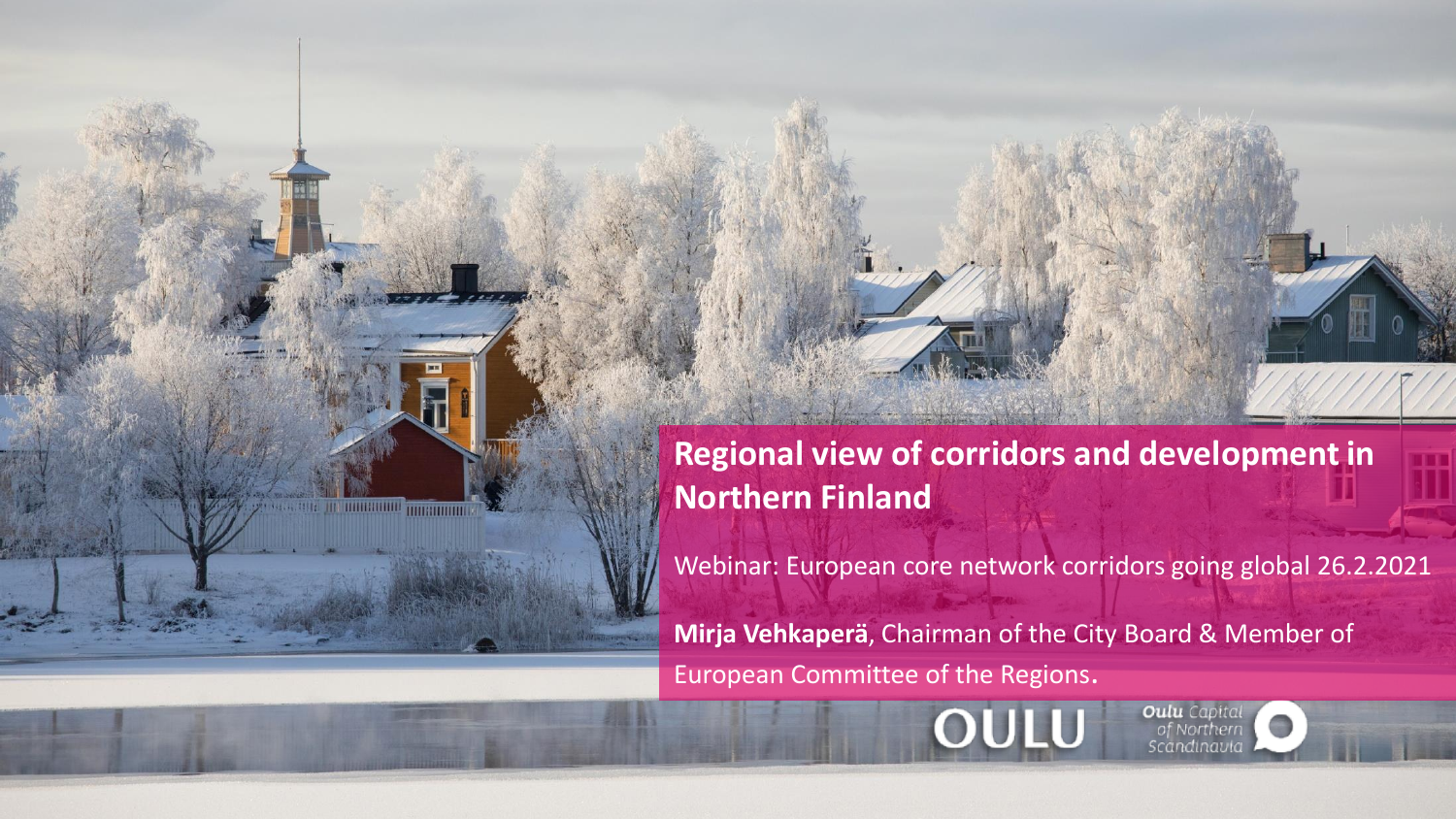**Regional view of corridors and development in Northern Finland**

**CARDE IN BURGHAM MIRRIBU** 

Webinar: European core network corridors going global 26.2.2021

**Oulu** Capital of Northern candinanic

**Mirja Vehkaperä**, Chairman of the City Board & Member of European Committee of the Regions.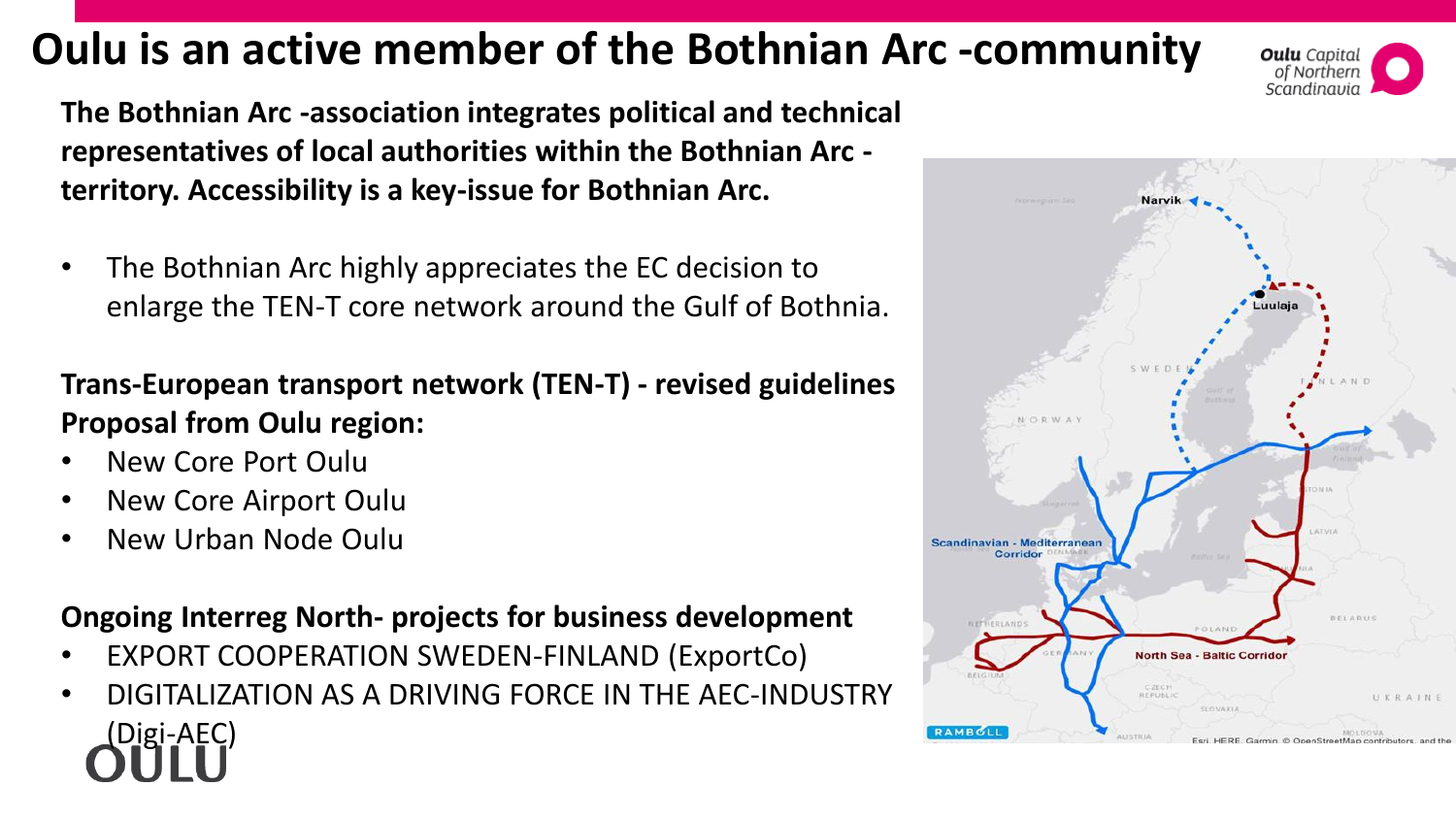# **Oulu is an active member of the Bothnian Arc -community**



**The Bothnian Arc -association integrates political and technical representatives of local authorities within the Bothnian Arc territory. Accessibility is a key-issue for Bothnian Arc.**

• The Bothnian Arc highly appreciates the EC decision to enlarge the TEN-T core network around the Gulf of Bothnia.

### **Trans-European transport network (TEN-T) - revised guidelines Proposal from Oulu region:**

- New Core Port Oulu
- New Core Airport Oulu
- New Urban Node Oulu

### **Ongoing Interreg North- projects for business development**

- EXPORT COOPERATION SWEDEN-FINLAND (ExportCo)
- DIGITALIZATION AS A DRIVING FORCE IN THE AEC-INDUSTRY (Digi-AEC)

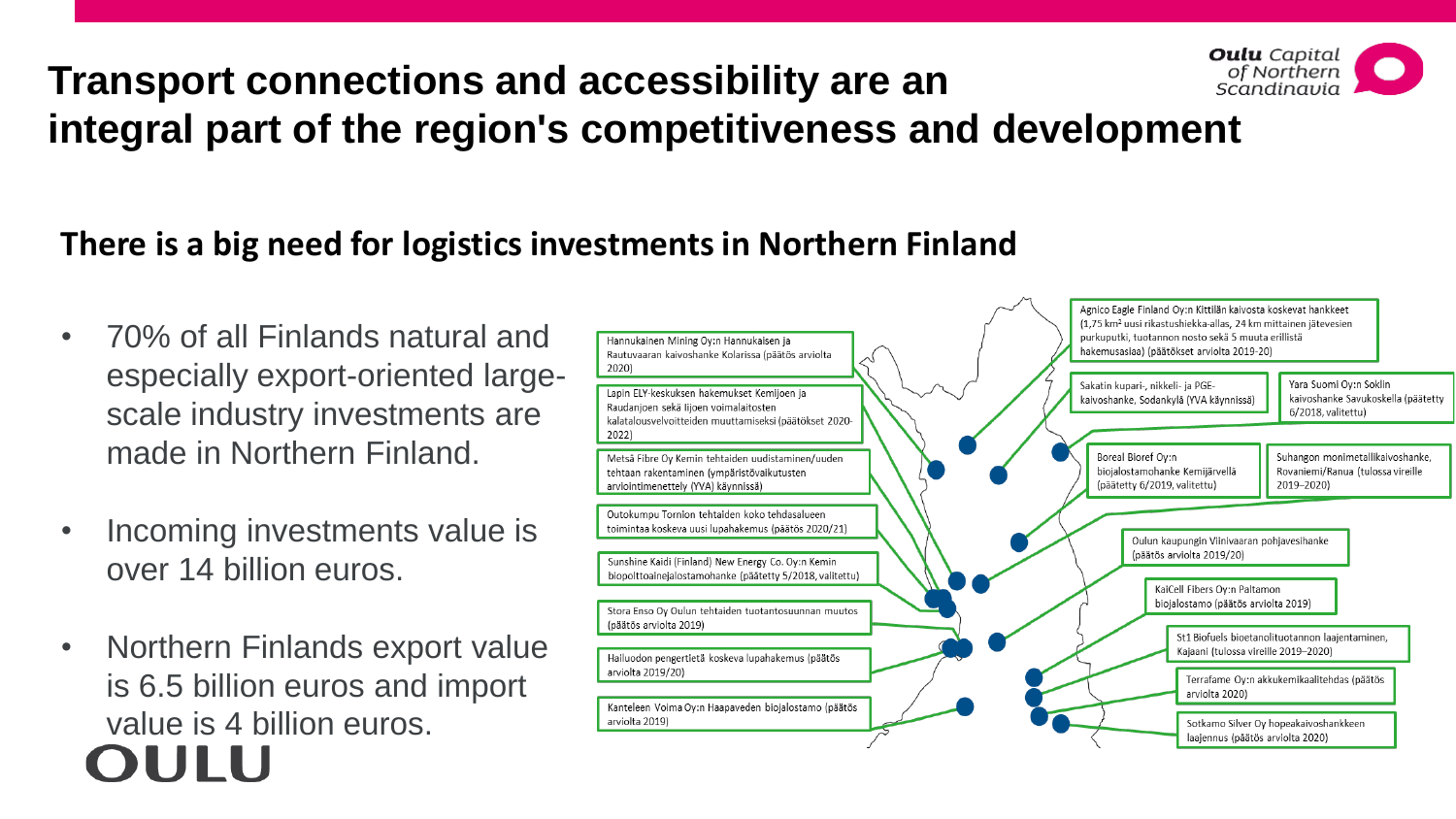#### **Oulu** Capital of Northern<br>Scandinavia **Transport connections and accessibility are an integral part of the region's competitiveness and development**

## **There is a big need for logistics investments in Northern Finland**

- 70% of all Finlands natural and especially export-oriented largescale industry investments are made in Northern Finland.
- Incoming investments value is over 14 billion euros.
- Northern Finlands export value is 6.5 billion euros and import value is 4 billion euros. OUHU